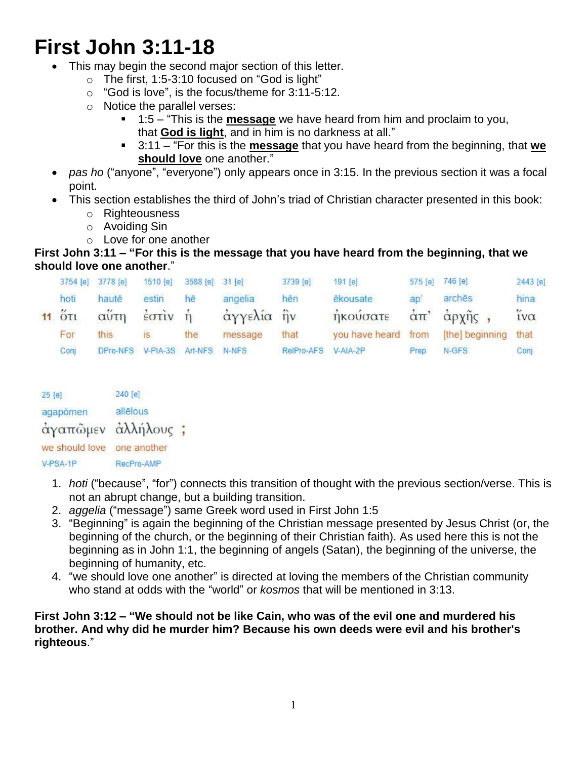# **First John 3:11-18**

- This may begin the second major section of this letter.
	- o The first, 1:5-3:10 focused on "God is light"
	- o "God is love", is the focus/theme for 3:11-5:12.
	- o Notice the parallel verses:
		- 1:5 "This is the **message** we have heard from him and proclaim to you, that **God is light**, and in him is no darkness at all."
		- 3:11 "For this is the **message** that you have heard from the beginning, that **we should love** one another."
- *pas ho* ("anyone", "everyone") only appears once in 3:15. In the previous section it was a focal point.
- This section establishes the third of John's triad of Christian character presented in this book:
	- o Righteousness
	- o Avoiding Sin
	- o Love for one another

## **First John 3:11 – "For this is the message that you have heard from the beginning, that we should love one another**."

|                                  | 3754 [e] 3778 [e] | 1510 [e] | 3588 [e] 31 [e]         |            | 3739 [e]   | $191$ [e]           |      | 575 [e] 746 [e]                                 | 2443 [e]               |
|----------------------------------|-------------------|----------|-------------------------|------------|------------|---------------------|------|-------------------------------------------------|------------------------|
| hoti                             | hautē             | estin    | hē                      | angelia    | hēn        | ēkousate            | ao'  | archēs                                          | hina                   |
| $11$ $\tilde{O}$ $\tilde{C}$ $1$ | αύτη              | έστιν    | $\overline{\mathbf{n}}$ | άγγελία ήν |            | ηκούσατε            |      | $\alpha \pi$ ' $\alpha p \chi \eta \varsigma$ , | $\tilde{i} \nu \alpha$ |
| For                              | this              | IS.      | the                     | message    | that       | you have heard from |      | [the] beginning                                 | that                   |
| Conj                             | DPro-NFS          |          | V-PIA-3S Art-NFS N-NFS  |            | RelPro-AFS | V-AIA-2P            | Prep | N-GFS                                           | Conj                   |

| 25[e]          | 240 [e]     |  |
|----------------|-------------|--|
| agapõmen       | allélous    |  |
| άγαπῶμεν       | άλληλους ;  |  |
| we should love | one another |  |
| V-PSA-1P       | RecPro-AMP  |  |

- 1. *hoti* ("because", "for") connects this transition of thought with the previous section/verse. This is not an abrupt change, but a building transition.
- 2. *aggelia* ("message") same Greek word used in First John 1:5
- 3. "Beginning" is again the beginning of the Christian message presented by Jesus Christ (or, the beginning of the church, or the beginning of their Christian faith). As used here this is not the beginning as in John 1:1, the beginning of angels (Satan), the beginning of the universe, the beginning of humanity, etc.
- 4. "we should love one another" is directed at loving the members of the Christian community who stand at odds with the "world" or *kosmos* that will be mentioned in 3:13.

## **First John 3:12 – "We should not be like Cain, who was of the evil one and murdered his brother. And why did he murder him? Because his own deeds were evil and his brother's righteous**."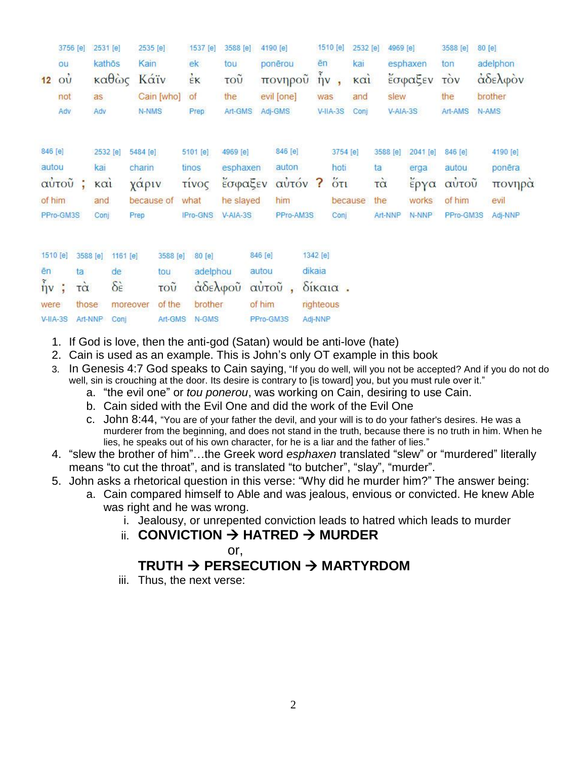|                   | 3756 [e]              |          | 2531 [e] |                         | 2535 [e]   |            | 1537 [e]       | 3588 [e]   |           | 4190 [e]    |           |     | 1510 [e]          | 2532 [e]    | 4969 [e] |          | 3588 [e]   | 80 [e] |          |
|-------------------|-----------------------|----------|----------|-------------------------|------------|------------|----------------|------------|-----------|-------------|-----------|-----|-------------------|-------------|----------|----------|------------|--------|----------|
|                   | ou                    |          | kathōs   |                         | Kain       |            | ek:            | tou        |           | ponērou     |           | ēn  |                   | kai         |          | esphaxen | ton        |        | adelphon |
| 12                | $\overrightarrow{ov}$ |          | καθώς    |                         | Κάϊν       |            | $\frac{1}{2}K$ | τοῦ        |           | πονηροῦ     |           |     | $\tilde{\eta}$ v, | $k\alpha i$ |          | έσφαξεν  | <b>TOV</b> |        | αδελφον  |
|                   | not                   |          | as       |                         |            | Cain [who] | of             | the        |           | evil [one]  |           | was |                   | and         | slew     |          | the        |        | brother  |
|                   | Adv                   |          | Adv      |                         | N-NMS      |            | Prep           | Art-GMS    |           | Adj-GMS     |           |     | $V-HA-3S$         | Conj        | V-AIA-3S |          | Art-AMS    |        | N-AMS    |
| 846 [e]           |                       |          | 2532 [e] |                         | 5484 [e]   |            | 5101 [e]       | 4969 [e]   |           | 846 [e]     |           |     | 3754 [e]          |             | 3588 [e] | 2041 [e] | 846 [e]    |        | 4190 [e] |
| autou             |                       |          | kai      |                         | charin     |            | tinos          |            | esphaxen  | auton       |           |     | hoti              |             | ta       | erga     | autou      |        | ponēra   |
|                   | αύτου ;               |          | καί      |                         | χάριν      |            | τίνος          |            | έσφαξεν   | αὐτόν ? ὅτι |           |     |                   |             | τά       | έργα     | αύτοῦ      |        | πονηρά   |
| of him            |                       |          | and      |                         | because of |            | what           |            | he slayed | him         |           |     |                   | because     | the      | works    | of him     |        | evil     |
|                   | PPro-GM3S             |          | Conj     |                         | Prep       |            | IPro-GNS       | $V-AIA-3S$ |           | PPro-AM3S   |           |     | Coni              |             | Art-NNP  | N-NNP    | PPro-GM3S  |        | Adj-NNP  |
| 1510 [e]          |                       | 3588 [e] |          | 1161 [e]                |            | 3588 [e]   | 80 [e]         |            | 846 [e]   |             | 1342 [e]  |     |                   |             |          |          |            |        |          |
| ēn                |                       | ta       |          | de                      |            | tou        |                | adelphou   | autou     |             | dikaia    |     |                   |             |          |          |            |        |          |
| $\frac{3}{11}v$ ; |                       | τà       |          | $\delta \dot{\epsilon}$ |            | τοῦ        |                | αδελφού    | αὐτοῦ     |             |           |     | $\delta$ ikaia.   |             |          |          |            |        |          |
| were              |                       | those    |          |                         | moreover   | of the     | brother        |            | of him    |             | righteous |     |                   |             |          |          |            |        |          |
| $V-HA-3S$         |                       | Art-NNP  |          | Conj                    |            | Art-GMS    | N-GMS          |            | PPro-GM3S |             | Adj-NNP   |     |                   |             |          |          |            |        |          |

- 1. If God is love, then the anti-god (Satan) would be anti-love (hate)
- 2. Cain is used as an example. This is John's only OT example in this book
- 3. In Genesis 4:7 God speaks to Cain saying, "If you do well, will you not be accepted? And if you do not do well, sin is crouching at the door. Its desire is contrary to [is toward] you, but you must rule over it."
	- a. "the evil one" or *tou ponerou*, was working on Cain, desiring to use Cain.
		- b. Cain sided with the Evil One and did the work of the Evil One
		- c. John 8:44, "You are of your father the devil, and your will is to do your father's desires. He was a murderer from the beginning, and does not stand in the truth, because there is no truth in him. When he lies, he speaks out of his own character, for he is a liar and the father of lies."
- 4. "slew the brother of him"…the Greek word *esphaxen* translated "slew" or "murdered" literally means "to cut the throat", and is translated "to butcher", "slay", "murder".
- 5. John asks a rhetorical question in this verse: "Why did he murder him?" The answer being:
	- a. Cain compared himself to Able and was jealous, envious or convicted. He knew Able was right and he was wrong.
		- i. Jealousy, or unrepented conviction leads to hatred which leads to murder
		- ii. **CONVICTION HATRED MURDER**
			- or,

## **TRUTH → PERSECUTION → MARTYRDOM**

iii. Thus, the next verse: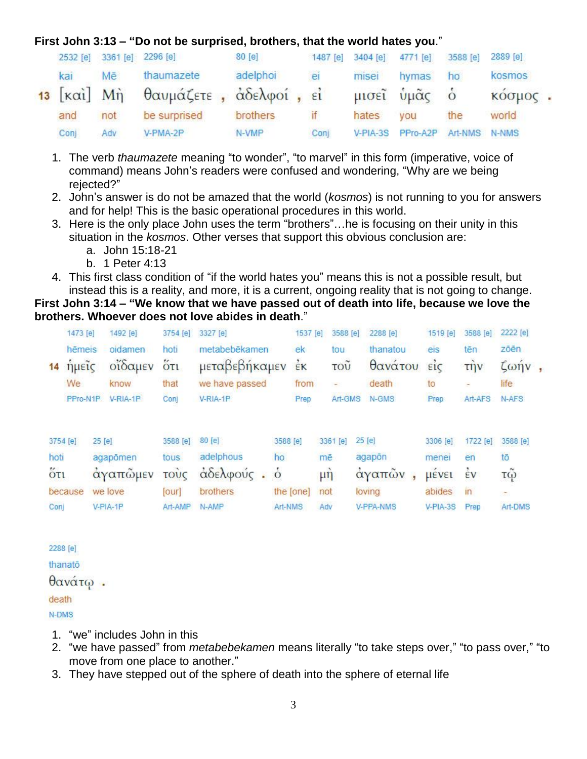## **First John 3:13 – "Do not be surprised, brothers, that the world hates you**."

| 2532 [e]                            | 3361 [e] 2296 [e] |                        | 80 [e]   | 1487 [e] | 3404 [e] | 4771 [e]   | 3588 [e]       | 2889 [e] |  |
|-------------------------------------|-------------------|------------------------|----------|----------|----------|------------|----------------|----------|--|
| kai                                 | Mē                | thaumazete             | adelphoi | ei       | misei    | hymas      | ho             | kosmos   |  |
| $13$ [ $\kappa$ $\alpha$ i] $M\eta$ |                   | θαυμάζετε, άδελφοί, εί |          |          |          | μισεῖ ὑμᾶς | $\overline{O}$ | κόσμος.  |  |
| and                                 | not               | be surprised           | brothers |          | hates    | you        | the            | world    |  |
| Conj                                | Adv               | V-PMA-2P               | N-VMP    | Conj     | V-PIA-3S | PPro-A2P   | Art-NMS N-NMS  |          |  |

- 1. The verb *thaumazete* meaning "to wonder", "to marvel" in this form (imperative, voice of command) means John's readers were confused and wondering, "Why are we being rejected?"
- 2. John's answer is do not be amazed that the world (*kosmos*) is not running to you for answers and for help! This is the basic operational procedures in this world.
- 3. Here is the only place John uses the term "brothers"…he is focusing on their unity in this situation in the *kosmos*. Other verses that support this obvious conclusion are:
	- a. John 15:18-21
	- b. 1 Peter 4:13
- 4. This first class condition of "if the world hates you" means this is not a possible result, but instead this is a reality, and more, it is a current, ongoing reality that is not going to change.

**First John 3:14 – "We know that we have passed out of death into life, because we love the brothers. Whoever does not love abides in death**."

|      | 1473 [e] |        | 1492 [e] | 3754 [e] | 3327 [e]       |               | 1537 [e]  | 3588 [e] | 2288 [e]         | 1519 <sub>[e]</sub> | 3588 [e]             | 2222 [e]                |  |
|------|----------|--------|----------|----------|----------------|---------------|-----------|----------|------------------|---------------------|----------------------|-------------------------|--|
|      | hēmeis   |        | oidamen  | hoti     | metabebēkamen  |               | ek        | tou      | thanatou         | eis                 | tēn                  | zōēn                    |  |
| 14   | ημείς    |        | οίδαμεν  | őτι      | μεταβεβήκαμεν  |               | έĸ        | τοῦ      | θανάτου          | $\vec{\epsilon}$ ic | $\overrightarrow{u}$ | $\zeta \omega \eta v$ , |  |
|      | We       |        | know     | that     | we have passed |               | from      |          | death            | to                  |                      | life                    |  |
|      | PPro-N1P |        | V-RIA-1P | Conj     | $V-RIA-1P$     |               | Prep      | Art-GMS  | N-GMS            | Prep                | Art-AFS              | N-AFS                   |  |
|      |          |        |          |          |                |               |           |          |                  |                     |                      |                         |  |
|      | 3754 [e] | 25 [e] |          | 3588 [e] | 80 [e]         | 3588 [e]      |           | 3361 [e] | 25 [e]           | 3306 [e]            | 1722 [e]             | 3588 [e]                |  |
| hoti |          |        | agapōmen | tous     | adelphous      | ho            |           | mē       | agapōn           | menei               | en                   | tō                      |  |
| őτι  |          |        | άγαπῶμεν | τους     | άδελφούς.      | $\dot{\circ}$ |           | $\mu$ ŋ  | άγαπῶν           | <b>LIEVEL</b>       | έV                   | τῷ                      |  |
|      | because  |        | we love  | [our]    | brothers       |               | the [one] | not      | loving           | abides              | in                   | $\tau$                  |  |
| Conj |          |        | V-PIA-1P | Art-AMP  | N-AMP          | Art-NMS       |           | Adv      | <b>V-PPA-NMS</b> | V-PIA-3S            | Prep                 | Art-DMS                 |  |

2288 [e] thanatō θανάτω. death N-DMS

- 1. "we" includes John in this
- 2. "we have passed" from *metabebekamen* means literally "to take steps over," "to pass over," "to move from one place to another."
- 3. They have stepped out of the sphere of death into the sphere of eternal life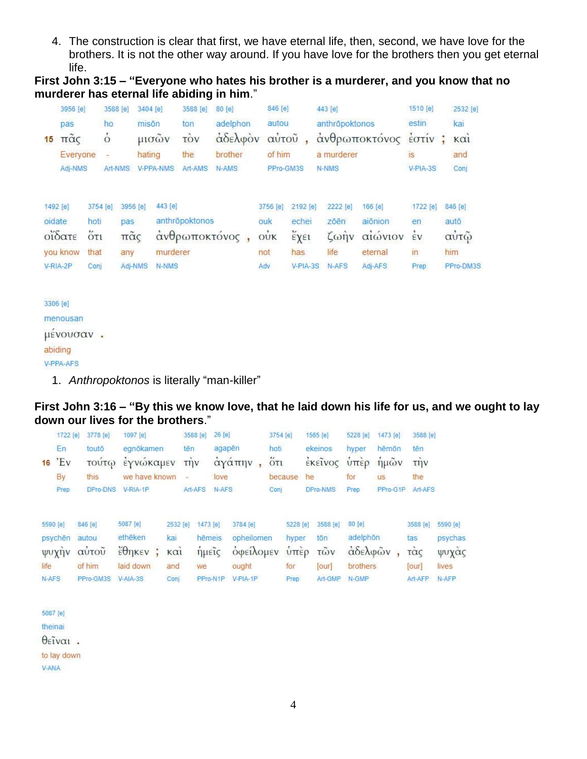4. The construction is clear that first, we have eternal life, then, second, we have love for the brothers. It is not the other way around. If you have love for the brothers then you get eternal life.

**First John 3:15 – "Everyone who hates his brother is a murderer, and you know that no murderer has eternal life abiding in him**."

|        | 3956 [e]                       |                                                  | 3588 [e]            |                                          | 3404 [e] |                     | 3588 [e]       | 80[e]               | 846 [e]                                                  |                                  | 443 [e]                                           |                                          | 1510 [e]                                             |     | 2532 [e]                |
|--------|--------------------------------|--------------------------------------------------|---------------------|------------------------------------------|----------|---------------------|----------------|---------------------|----------------------------------------------------------|----------------------------------|---------------------------------------------------|------------------------------------------|------------------------------------------------------|-----|-------------------------|
| 15     | pas<br>$π\tilde{α}$ ς          |                                                  | ho<br>$\dot{\circ}$ |                                          | misōn    | μισών               | ton<br>τòν     | adelphon<br>αδελφον | autou<br>αύτοῦ                                           |                                  | anthropoktonos                                    | ανθρωποκτόνος                            | estin<br>$\epsilon$ <sup>o</sup> $\tau$ <sup>i</sup> |     | kai<br>$k\alpha i$      |
|        | Everyone                       |                                                  | ÷                   |                                          | hating   |                     | the            | brother             | of him                                                   |                                  | a murderer                                        |                                          | is                                                   |     | and                     |
|        | Adj-NMS                        |                                                  | Art-NMS             |                                          |          | <b>V-PPA-NMS</b>    | Art-AMS        | N-AMS               | PPro-GM3S                                                |                                  | N-NMS                                             |                                          | $V-PIA-3S$                                           |     | Conj                    |
| oidate | 1492 [e]<br>οΐδατε<br>you know | 3754 [e]<br>hoti<br>$\ddot{\text{O}}$ ti<br>that |                     | 3956 [e]<br>pas<br>$π\tilde{α}$ ς<br>any |          | 443 [e]<br>murderer | anthröpoktonos | άνθρωποκτόνος,      | 3756 [e]<br>ouk<br>$\dot{\text{o}}\dot{\text{u}}$<br>not | 2192 [e]<br>echei<br>έχει<br>has | 2222 [e]<br>zōēn<br>$\zeta \omega \eta v$<br>life | 166 [e]<br>aiōnion<br>αιώνιον<br>eternal | 1722 [e]<br>en<br>$\frac{1}{2}v$<br>in               | him | 846 [e]<br>autō<br>αὐτῷ |
|        | V-RIA-2P                       | Conj                                             |                     | Adj-NMS                                  |          | N-NMS               |                |                     | Adv                                                      | $V-PIA-3S$                       | N-AFS                                             | Adj-AFS                                  | Prep                                                 |     | PPro-DM3S               |
|        |                                |                                                  |                     |                                          |          |                     |                |                     |                                                          |                                  |                                                   |                                          |                                                      |     |                         |

3306 [e] menousan μένουσαν. abiding

V-PPA-AFS

1. *Anthropoktonos* is literally "man-killer"

#### **First John 3:16 – "By this we know love, that he laid down his life for us, and we ought to lay down our lives for the brothers**."

| 16    | 1722 [e]<br>En<br>'Ev<br><b>By</b> | 3778 [e]<br>toutō<br>τούτω<br>this | 1097 [e]<br>egnökamen<br>έγνώκαμεν<br>we have known | tēn<br>$\equiv$    | 3588 [e]<br>$\overrightarrow{u}$ | 26 [e]<br>agapēn<br>love | άγάπην,                 | 3754 [e]<br>hoti<br>$5\pi$ | because                | 1565 [e]<br>ekeinos<br>έκεινος<br>he | 5228 [e]<br>hyper<br>$\hat{v}$ πέρ<br>for | 1473 [e]<br>hēmōn<br>ήμῶν<br><b>US</b> | 3588 [e]<br>tēn<br>$\overline{t}$ $\overline{t}$ $\overline{t}$ $\overline{t}$<br>the |                |
|-------|------------------------------------|------------------------------------|-----------------------------------------------------|--------------------|----------------------------------|--------------------------|-------------------------|----------------------------|------------------------|--------------------------------------|-------------------------------------------|----------------------------------------|---------------------------------------------------------------------------------------|----------------|
|       | Prep                               | DPro-DNS                           | V-RIA-1P                                            |                    | Art-AFS                          | N-AFS                    |                         | Conj                       |                        | DPro-NMS                             | Prep                                      | PPro-G1P                               | Art-AFS                                                                               |                |
|       | 5590 [e]                           | 846 [e]                            | 5087 [e]                                            | 2532 [e]           | 1473 [e]                         |                          | 3784 [e]                |                            | 5228 [e]               | 3588 [e]                             | 80 [e]                                    |                                        | 3588 [e]                                                                              | 5590 [e]       |
|       | psychen                            | autou<br>αύτοῦ                     | ethēken                                             | kai                | hēmeis                           |                          | opheilomen<br>οφείλομεν |                            | hyper<br>$\dot{v}$ πέρ | tōn<br>τῶν                           | adelphön                                  | άδελφών,                               | tas                                                                                   | psychas        |
| life  | ψυχήν                              | of him                             | $\frac{1}{2}\theta$ ηκεν;<br>laid down              | $k\alpha i$<br>and | ημείς<br>we                      |                          | ought                   |                            | for                    | [our]                                | brothers                                  |                                        | τὰς<br>[our]                                                                          | ψυχάς<br>lives |
| N-AFS |                                    | PPro-GM3S                          | $V-AIA-3S$                                          | Conj               | PPro-N1P                         |                          | V-PIA-1P                |                            | Prep                   | Art-GMP                              | N-GMP                                     |                                        | Art-AFP                                                                               | N-AFP          |
|       | 5087 [e]                           |                                    |                                                     |                    |                                  |                          |                         |                            |                        |                                      |                                           |                                        |                                                                                       |                |
|       | theinai                            |                                    |                                                     |                    |                                  |                          |                         |                            |                        |                                      |                                           |                                        |                                                                                       |                |
|       | $\theta$ εῖναι.                    |                                    |                                                     |                    |                                  |                          |                         |                            |                        |                                      |                                           |                                        |                                                                                       |                |
|       | to lay down                        |                                    |                                                     |                    |                                  |                          |                         |                            |                        |                                      |                                           |                                        |                                                                                       |                |

V-ANA